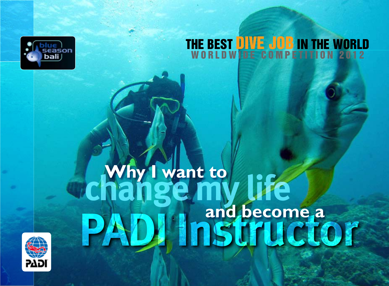

#### THE BEST DIVE JOB IN THE WORL WORLDWIDE COMPETITION 2012

### **Why I want to and become a change my life PADI Instructor**

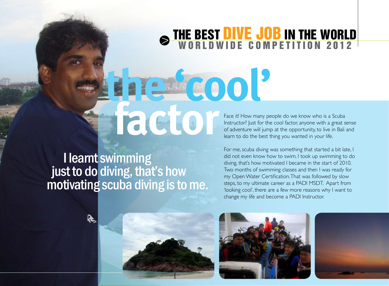#### THE BEST DIVE JOB IN THE WORL WORLDWIDE COMPETITION 2012

 I learnt swimming just to do diving, that's how motivating scuba diving is to me.

Face it! How many people do we know who is a Scuba Instructor? Just for the cool factor, anyone with a great sense of adventure will jump at the opportunity, to live in Bali and learn to do the best thing you wanted in your life. **there it! How many p**<br> **of adventure** will jum

> For me, scuba diving was something that started a bit late, I did not even know how to swim, I took up swimming to do diving, that's how motivated I became in the start of 2010. Two months of swimming classes and then I was ready for my Open Water Certification. That was followed by slow steps, to my ultimate career as a PADI MSDT. Apart from 'looking cool', there are a few more reasons why I want to change my life and become a PADI Instructor.





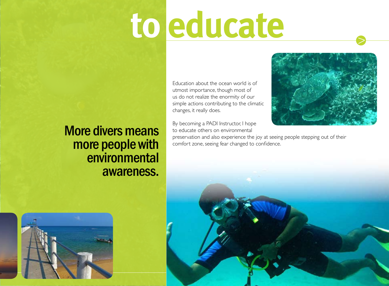# **to educate**

### More divers means more people with environmental awareness.

Education about the ocean world is of utmost importance, though most of us do not realize the enormity of our simple actions contributing to the climatic changes, it really does.

By becoming a PADI Instructor, I hope to educate others on environmental



preservation and also experience the joy at seeing people stepping out of their comfort zone, seeing fear changed to confidence.

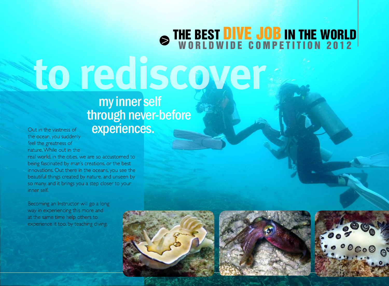### THE BEST DIVE JOB IN THE WORL W O R L D W I D E C O M P E T I T I O N 2 0 1 2  **to rediscover**

### my inner self through never-before experiences.

Out in the vastness of the ocean, you suddenly feel the greatness of nature. While out in the

real world, in the cities, we are so accustomed to being fascinated by man's creations, or the best innovations. Out there in the oceans, you see the beautiful things created by nature, and unseen by so many, and it brings you a step closer to your inner self.

Becoming an Instructor will go a long way in experiencing this more and at the same time help others to experience it too, by teaching diving.





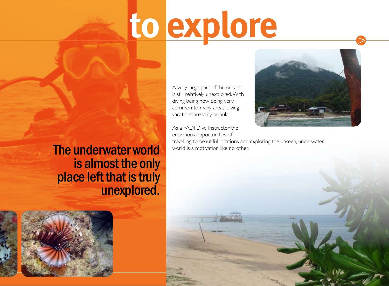## **to explore**

A very large part of the oceans is still relatively unexplored. With diving being now being very common to many areas, diving vacations are very popular.

#### As a PADI Dive Instructor the enormous opportunities of

travelling to beautiful locations and exploring the unseen, underwater world is a motivation like no other.



The underwater world is almost the only place left that is truly unexplored.

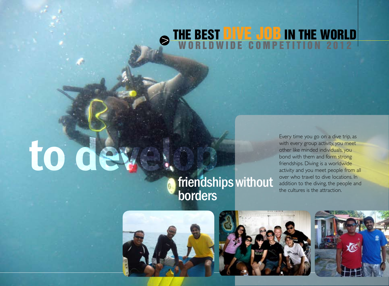#### THE BEST DIVE JOB IN THE WORL W O R L D W I D E G O M P E T I T I O N 2 0 1 2

# to de

### friendships without

Every time you go on a dive trip, as with every group activity, you meet other like minded individuals, you bond with them and form strong friendships. Diving is a worldwide activity and you meet people from all over who travel to dive locations. In addition to the diving, the people and the cultures is the attraction.





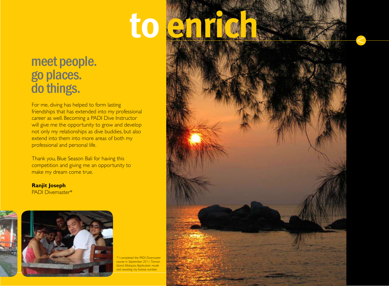### **to enrich**

### meet people. go places. do things.

For me, diving has helped to form lasting friendships that has extended into my professional career as well. Becoming a PADI Dive Instructor will give me the opportunity to grow and develop not only my relationships as dive buddies, but also extend into them into more areas of both my professional and personal life.

Thank you, Blue Season Bali for having this competition and giving me an opportunity to make my dream come true.

**Ranjit Joseph** PADI Divemaster\*



*\* I completed the PADI Divemaster course in September 2011, Tioman Island, Malaysia. Application made and awaiting my license number.*